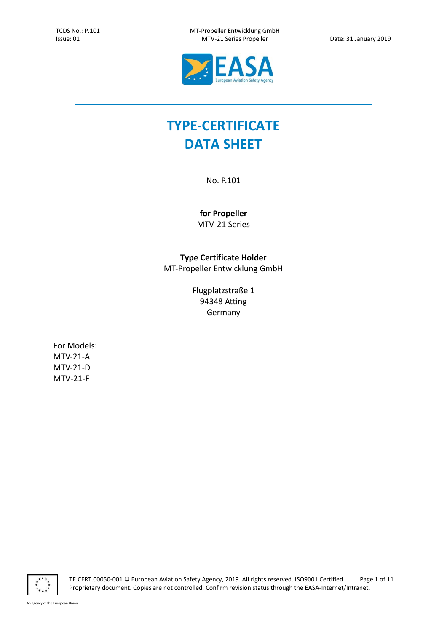

# **TYPE-CERTIFICATE DATA SHEET**

No. P.101

**for Propeller** MTV-21 Series

# **Type Certificate Holder** MT-Propeller Entwicklung GmbH

Flugplatzstraße 1 94348 Atting Germany

For Models: MTV-21-A MTV-21-D MTV-21-F



TE.CERT.00050-001 © European Aviation Safety Agency, 2019. All rights reserved. ISO9001 Certified. Page 1 of 11 Proprietary document. Copies are not controlled. Confirm revision status through the EASA-Internet/Intranet.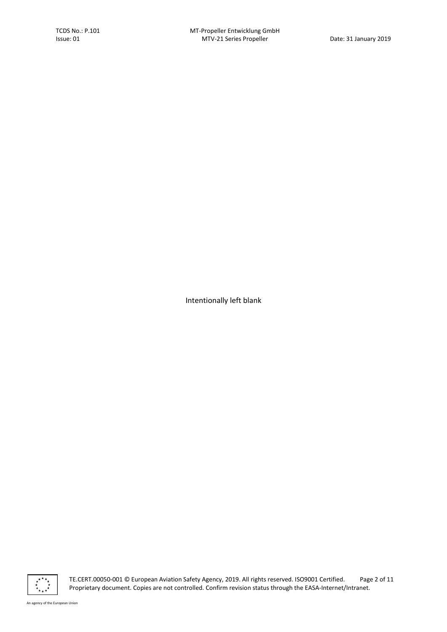Intentionally left blank



TE.CERT.00050-001 © European Aviation Safety Agency, 2019. All rights reserved. ISO9001 Certified. Page 2 of 11 Proprietary document. Copies are not controlled. Confirm revision status through the EASA-Internet/Intranet.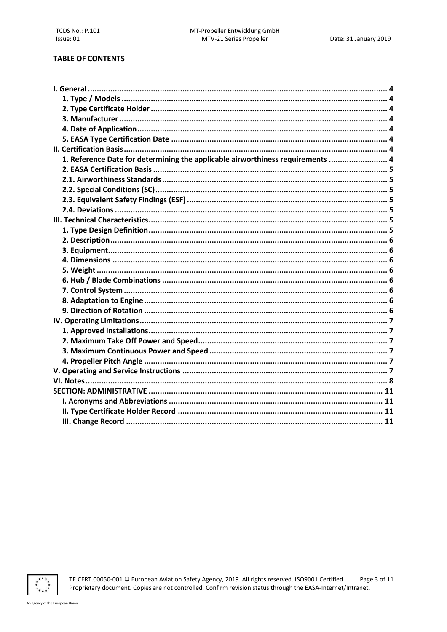# **TABLE OF CONTENTS**

| 1. Reference Date for determining the applicable airworthiness requirements  4 |  |
|--------------------------------------------------------------------------------|--|
|                                                                                |  |
|                                                                                |  |
|                                                                                |  |
|                                                                                |  |
|                                                                                |  |
|                                                                                |  |
|                                                                                |  |
|                                                                                |  |
|                                                                                |  |
|                                                                                |  |
|                                                                                |  |
|                                                                                |  |
|                                                                                |  |
|                                                                                |  |
|                                                                                |  |
|                                                                                |  |
|                                                                                |  |
|                                                                                |  |
|                                                                                |  |
|                                                                                |  |
|                                                                                |  |
|                                                                                |  |
|                                                                                |  |
|                                                                                |  |
|                                                                                |  |
|                                                                                |  |
|                                                                                |  |

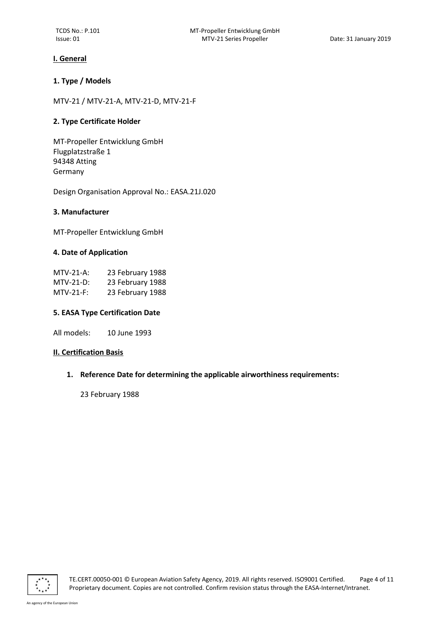## <span id="page-3-0"></span>**I. General**

## <span id="page-3-1"></span>**1. Type / Models**

MTV-21 / MTV-21-A, MTV-21-D, MTV-21-F

## <span id="page-3-2"></span>**2. Type Certificate Holder**

MT-Propeller Entwicklung GmbH Flugplatzstraße 1 94348 Atting Germany

Design Organisation Approval No.: EASA.21J.020

## <span id="page-3-3"></span>**3. Manufacturer**

MT-Propeller Entwicklung GmbH

## <span id="page-3-4"></span>**4. Date of Application**

| $MTV-21-A$ : | 23 February 1988 |
|--------------|------------------|
| $MTV-21-D$ : | 23 February 1988 |
| $MTV-21-F$ : | 23 February 1988 |

## <span id="page-3-5"></span>**5. EASA Type Certification Date**

All models: 10 June 1993

## <span id="page-3-6"></span>**II. Certification Basis**

<span id="page-3-7"></span>**1. Reference Date for determining the applicable airworthiness requirements:** 

23 February 1988



TE.CERT.00050-001 © European Aviation Safety Agency, 2019. All rights reserved. ISO9001 Certified. Page 4 of 11 Proprietary document. Copies are not controlled. Confirm revision status through the EASA-Internet/Intranet.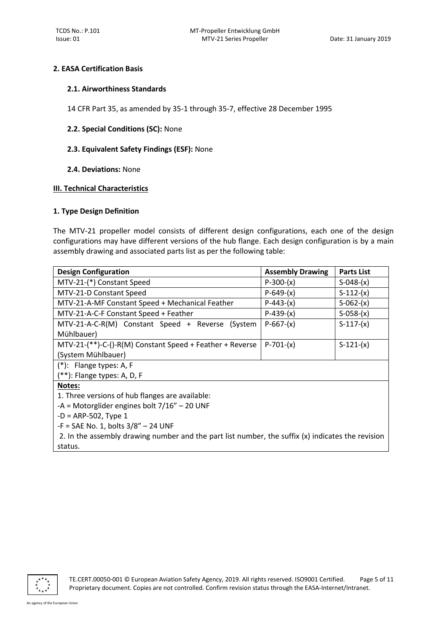## <span id="page-4-0"></span>**2. EASA Certification Basis**

#### <span id="page-4-1"></span>**2.1. Airworthiness Standards**

14 CFR Part 35, as amended by 35-1 through 35-7, effective 28 December 1995

## <span id="page-4-2"></span>**2.2. Special Conditions (SC):** None

## <span id="page-4-3"></span>**2.3. Equivalent Safety Findings (ESF):** None

#### <span id="page-4-4"></span>**2.4. Deviations:** None

## <span id="page-4-5"></span>**III. Technical Characteristics**

## <span id="page-4-6"></span>**1. Type Design Definition**

The MTV-21 propeller model consists of different design configurations, each one of the design configurations may have different versions of the hub flange. Each design configuration is by a main assembly drawing and associated parts list as per the following table:

| <b>Design Configuration</b>                                  | <b>Assembly Drawing</b>                                                                           | <b>Parts List</b> |  |  |  |  |  |
|--------------------------------------------------------------|---------------------------------------------------------------------------------------------------|-------------------|--|--|--|--|--|
| MTV-21-(*) Constant Speed                                    | $P-300-(x)$                                                                                       | $S-048-(x)$       |  |  |  |  |  |
| MTV-21-D Constant Speed                                      | $P-649-(x)$                                                                                       | $S-112-(x)$       |  |  |  |  |  |
| MTV-21-A-MF Constant Speed + Mechanical Feather              | $P-443-(x)$                                                                                       | $S-062-(x)$       |  |  |  |  |  |
| MTV-21-A-C-F Constant Speed + Feather                        | $P-439-(x)$                                                                                       | $S-058-(x)$       |  |  |  |  |  |
| MTV-21-A-C-R(M) Constant Speed + Reverse (System             | $P-667-(x)$                                                                                       | $S-117-(x)$       |  |  |  |  |  |
| Mühlbauer)                                                   |                                                                                                   |                   |  |  |  |  |  |
| $MTV-21-(**)-C(-) - R(M)$ Constant Speed + Feather + Reverse | $P-701-(x)$                                                                                       | $S-121-(x)$       |  |  |  |  |  |
| (System Mühlbauer)                                           |                                                                                                   |                   |  |  |  |  |  |
| $(*)$ : Flange types: A, F                                   |                                                                                                   |                   |  |  |  |  |  |
| $(**)$ : Flange types: A, D, F                               |                                                                                                   |                   |  |  |  |  |  |
| Notes:                                                       |                                                                                                   |                   |  |  |  |  |  |
| 1. Three versions of hub flanges are available:              |                                                                                                   |                   |  |  |  |  |  |
| -A = Motorglider engines bolt $7/16'' - 20$ UNF              |                                                                                                   |                   |  |  |  |  |  |
| $-D = ARP-502$ , Type 1                                      |                                                                                                   |                   |  |  |  |  |  |
| $-F = SAE No. 1, bolts 3/8" - 24 UNF$                        |                                                                                                   |                   |  |  |  |  |  |
|                                                              | 2. In the assembly drawing number and the part list number, the suffix (x) indicates the revision |                   |  |  |  |  |  |
| status.                                                      |                                                                                                   |                   |  |  |  |  |  |

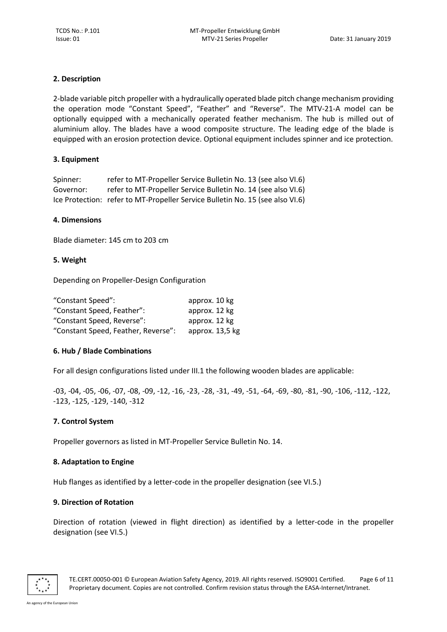## <span id="page-5-0"></span>**2. Description**

2-blade variable pitch propeller with a hydraulically operated blade pitch change mechanism providing the operation mode "Constant Speed", "Feather" and "Reverse". The MTV-21-A model can be optionally equipped with a mechanically operated feather mechanism. The hub is milled out of aluminium alloy. The blades have a wood composite structure. The leading edge of the blade is equipped with an erosion protection device. Optional equipment includes spinner and ice protection.

#### <span id="page-5-1"></span>**3. Equipment**

| Spinner:  | refer to MT-Propeller Service Bulletin No. 13 (see also VI.6)                 |
|-----------|-------------------------------------------------------------------------------|
| Governor: | refer to MT-Propeller Service Bulletin No. 14 (see also VI.6)                 |
|           | Ice Protection: refer to MT-Propeller Service Bulletin No. 15 (see also VI.6) |

#### <span id="page-5-2"></span>**4. Dimensions**

<span id="page-5-3"></span>Blade diameter: 145 cm to 203 cm

#### **5. Weight**

Depending on Propeller-Design Configuration

| "Constant Speed":                   | approx. 10 kg   |
|-------------------------------------|-----------------|
| "Constant Speed, Feather":          | approx. 12 kg   |
| "Constant Speed, Reverse":          | approx. 12 kg   |
| "Constant Speed, Feather, Reverse": | approx. 13,5 kg |

#### <span id="page-5-4"></span>**6. Hub / Blade Combinations**

For all design configurations listed under III.1 the following wooden blades are applicable:

-03, -04, -05, -06, -07, -08, -09, -12, -16, -23, -28, -31, -49, -51, -64, -69, -80, -81, -90, -106, -112, -122, -123, -125, -129, -140, -312

## <span id="page-5-5"></span>**7. Control System**

Propeller governors as listed in MT-Propeller Service Bulletin No. 14.

#### <span id="page-5-6"></span>**8. Adaptation to Engine**

Hub flanges as identified by a letter-code in the propeller designation (see VI.5.)

#### <span id="page-5-7"></span>**9. Direction of Rotation**

Direction of rotation (viewed in flight direction) as identified by a letter-code in the propeller designation (see VI.5.)

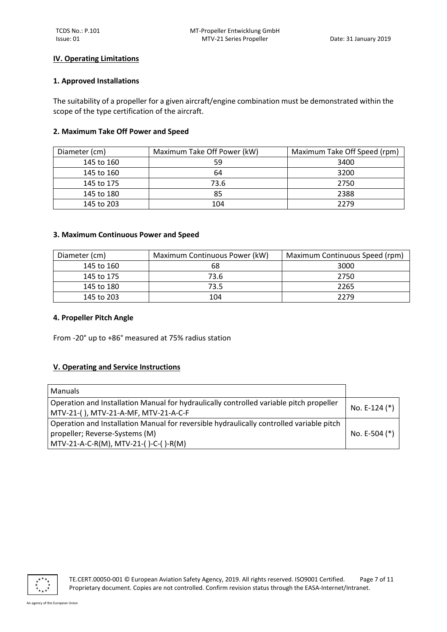#### <span id="page-6-0"></span>**IV. Operating Limitations**

### <span id="page-6-1"></span>**1. Approved Installations**

The suitability of a propeller for a given aircraft/engine combination must be demonstrated within the scope of the type certification of the aircraft.

#### <span id="page-6-2"></span>**2. Maximum Take Off Power and Speed**

| Diameter (cm) | Maximum Take Off Power (kW) | Maximum Take Off Speed (rpm) |
|---------------|-----------------------------|------------------------------|
| 145 to 160    | 59                          | 3400                         |
| 145 to 160    | 64                          | 3200                         |
| 145 to 175    | 73.6                        | 2750                         |
| 145 to 180    | 85                          | 2388                         |
| 145 to 203    | 104                         | 2279                         |

#### <span id="page-6-3"></span>**3. Maximum Continuous Power and Speed**

<span id="page-6-4"></span>

| Diameter (cm) | Maximum Continuous Power (kW) | Maximum Continuous Speed (rpm) |
|---------------|-------------------------------|--------------------------------|
| 145 to 160    | 68                            | 3000                           |
| 145 to 175    | 73.6                          | 2750                           |
| 145 to 180    | 73.5                          | 2265                           |
| 145 to 203    | 104                           | 2279                           |

## **4. Propeller Pitch Angle**

From -20° up to +86° measured at 75% radius station

## <span id="page-6-5"></span>**V. Operating and Service Instructions**

| Manuals                                                                                                                                                            |                   |
|--------------------------------------------------------------------------------------------------------------------------------------------------------------------|-------------------|
| Operation and Installation Manual for hydraulically controlled variable pitch propeller<br>MTV-21-(), MTV-21-A-MF, MTV-21-A-C-F                                    | No. $E-124$ $(*)$ |
| Operation and Installation Manual for reversible hydraulically controlled variable pitch<br>propeller; Reverse-Systems (M)<br>MTV-21-A-C-R(M), MTV-21-()-C-()-R(M) | No. E-504 (*)     |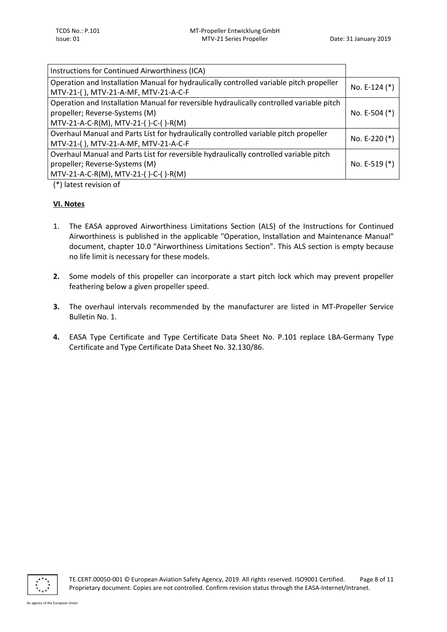| Instructions for Continued Airworthiness (ICA)                                                                                   |               |
|----------------------------------------------------------------------------------------------------------------------------------|---------------|
| Operation and Installation Manual for hydraulically controlled variable pitch propeller                                          | No. E-124 (*) |
| MTV-21-(), MTV-21-A-MF, MTV-21-A-C-F<br>Operation and Installation Manual for reversible hydraulically controlled variable pitch |               |
| propeller; Reverse-Systems (M)                                                                                                   | No. E-504 (*) |
| MTV-21-A-C-R(M), MTV-21-()-C-()-R(M)                                                                                             |               |
| Overhaul Manual and Parts List for hydraulically controlled variable pitch propeller                                             | No. E-220 (*) |
| MTV-21-(), MTV-21-A-MF, MTV-21-A-C-F                                                                                             |               |
| Overhaul Manual and Parts List for reversible hydraulically controlled variable pitch                                            |               |
| propeller; Reverse-Systems (M)                                                                                                   | No. E-519 (*) |
| MTV-21-A-C-R(M), MTV-21-()-C-()-R(M)                                                                                             |               |

<span id="page-7-0"></span>(\*) latest revision of

## **VI. Notes**

- 1. The EASA approved Airworthiness Limitations Section (ALS) of the Instructions for Continued Airworthiness is published in the applicable "Operation, Installation and Maintenance Manual" document, chapter 10.0 "Airworthiness Limitations Section". This ALS section is empty because no life limit is necessary for these models.
- **2.** Some models of this propeller can incorporate a start pitch lock which may prevent propeller feathering below a given propeller speed.
- **3.** The overhaul intervals recommended by the manufacturer are listed in MT-Propeller Service Bulletin No. 1.
- **4.** EASA Type Certificate and Type Certificate Data Sheet No. P.101 replace LBA-Germany Type Certificate and Type Certificate Data Sheet No. 32.130/86.

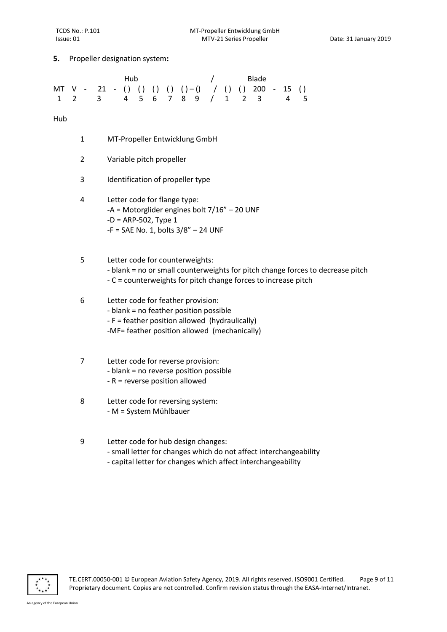#### **5.** Propeller designation system**:**

|  |  | . Hub |  |  |  |  | / Blade |                                                    |  |  |
|--|--|-------|--|--|--|--|---------|----------------------------------------------------|--|--|
|  |  |       |  |  |  |  |         | MT V - 21 - () () () () () -() / () () 200 - 15 () |  |  |
|  |  |       |  |  |  |  |         | 1 2 3 4 5 6 7 8 9 / 1 2 3 4 5                      |  |  |

Hub

- 1 MT-Propeller Entwicklung GmbH
- 2 Variable pitch propeller
- 3 Identification of propeller type
- 4 Letter code for flange type: -A = Motorglider engines bolt 7/16" – 20 UNF  $-D = ARP-502$ , Type 1  $-F = SAE No. 1, bolts 3/8" - 24 UNF$
- 5 Letter code for counterweights: - blank = no or small counterweights for pitch change forces to decrease pitch - C = counterweights for pitch change forces to increase pitch
- 6 Letter code for feather provision: - blank = no feather position possible - F = feather position allowed (hydraulically) -MF= feather position allowed (mechanically)
- 7 Letter code for reverse provision: - blank = no reverse position possible
	- R = reverse position allowed
- 8 Letter code for reversing system:
	- M = System Mühlbauer
- 9 Letter code for hub design changes: - small letter for changes which do not affect interchangeability - capital letter for changes which affect interchangeability



TE.CERT.00050-001 © European Aviation Safety Agency, 2019. All rights reserved. ISO9001 Certified. Page 9 of 11 Proprietary document. Copies are not controlled. Confirm revision status through the EASA-Internet/Intranet.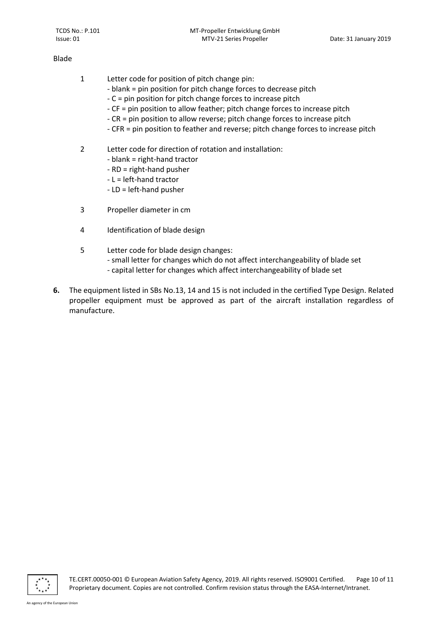#### Blade

- 1 Letter code for position of pitch change pin:
	- blank = pin position for pitch change forces to decrease pitch
	- C = pin position for pitch change forces to increase pitch
	- CF = pin position to allow feather; pitch change forces to increase pitch
	- CR = pin position to allow reverse; pitch change forces to increase pitch
	- CFR = pin position to feather and reverse; pitch change forces to increase pitch
- 2 Letter code for direction of rotation and installation:
	- blank = right-hand tractor
	- RD = right-hand pusher
	- L = left-hand tractor
	- LD = left-hand pusher
- 3 Propeller diameter in cm
- 4 Identification of blade design
- 5 Letter code for blade design changes:
	- small letter for changes which do not affect interchangeability of blade set
	- capital letter for changes which affect interchangeability of blade set
- **6.** The equipment listed in SBs No.13, 14 and 15 is not included in the certified Type Design. Related propeller equipment must be approved as part of the aircraft installation regardless of manufacture.